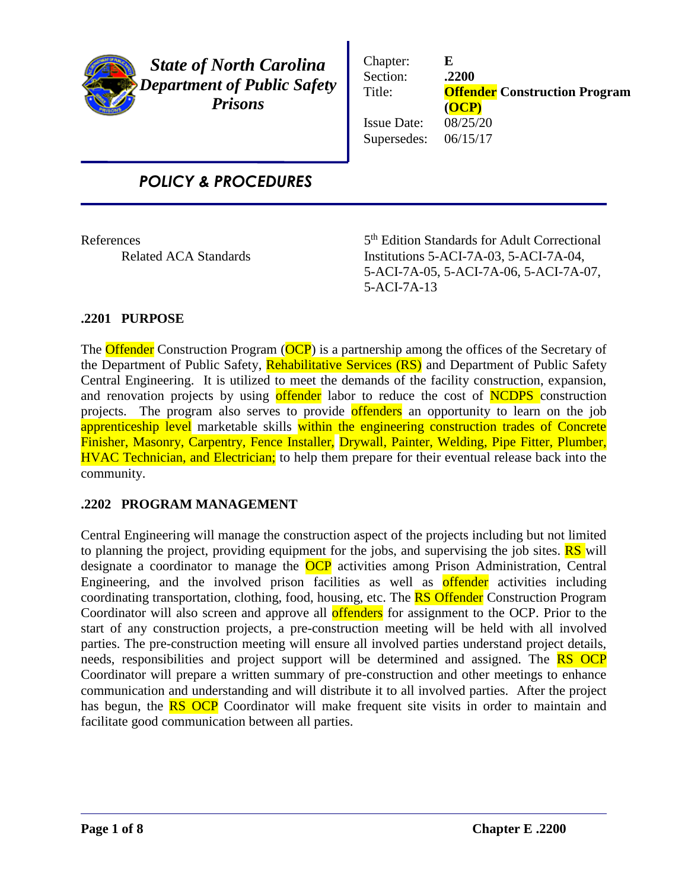

*State of North Carolina Department of Public Safety Prisons*

Chapter: **E** Section: **.2200** Title: **Offender Construction Program (OCP)** Issue Date: 08/25/20 Supersedes: 06/15/17

# *POLICY & PROCEDURES*

**References** 

5<sup>th</sup> Edition Standards for Adult Correctional Related ACA Standards Institutions 5-ACI-7A-03, 5-ACI-7A-04, 5-ACI-7A-05, 5-ACI-7A-06, 5-ACI-7A-07, 5-ACI-7A-13

# **.2201 PURPOSE**

The **Offender** Construction Program (**OCP**) is a partnership among the offices of the Secretary of the Department of Public Safety, Rehabilitative Services (RS) and Department of Public Safety Central Engineering. It is utilized to meet the demands of the facility construction, expansion, and renovation projects by using offender labor to reduce the cost of NCDPS construction projects. The program also serves to provide offenders an opportunity to learn on the job apprenticeship level marketable skills within the engineering construction trades of Concrete Finisher, Masonry, Carpentry, Fence Installer, Drywall, Painter, Welding, Pipe Fitter, Plumber, HVAC Technician, and Electrician; to help them prepare for their eventual release back into the community.

# **.2202 PROGRAM MANAGEMENT**

Central Engineering will manage the construction aspect of the projects including but not limited to planning the project, providing equipment for the jobs, and supervising the job sites. **RS** will designate a coordinator to manage the **OCP** activities among Prison Administration, Central Engineering, and the involved prison facilities as well as **offender** activities including coordinating transportation, clothing, food, housing, etc. The **RS Offender** Construction Program Coordinator will also screen and approve all **offenders** for assignment to the OCP. Prior to the start of any construction projects, a pre-construction meeting will be held with all involved parties. The pre-construction meeting will ensure all involved parties understand project details, needs, responsibilities and project support will be determined and assigned. The **RS OCP** Coordinator will prepare a written summary of pre-construction and other meetings to enhance communication and understanding and will distribute it to all involved parties. After the project has begun, the **RS OCP** Coordinator will make frequent site visits in order to maintain and facilitate good communication between all parties.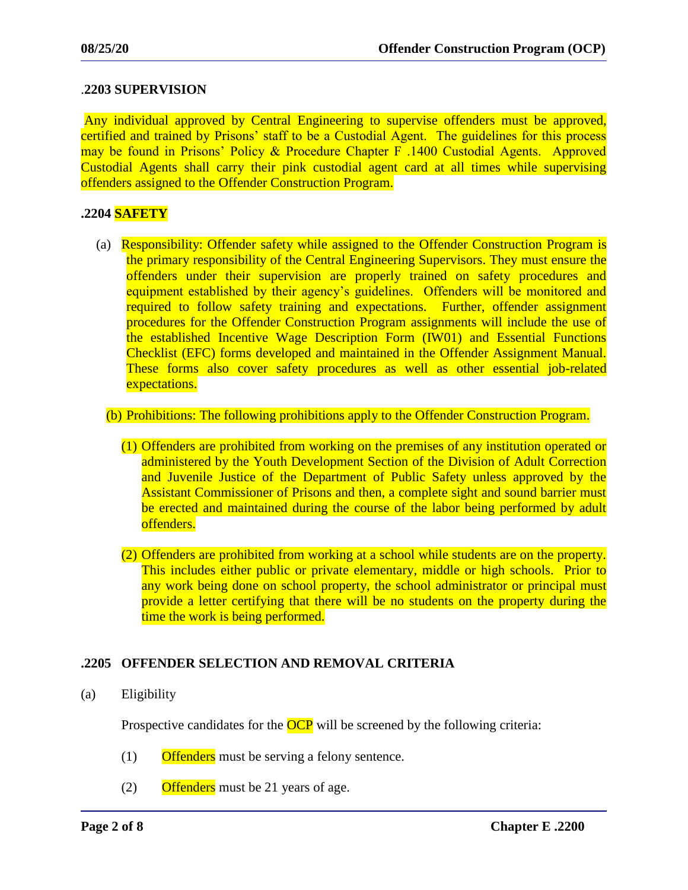## .**2203 SUPERVISION**

Any individual approved by Central Engineering to supervise offenders must be approved, certified and trained by Prisons' staff to be a Custodial Agent. The guidelines for this process may be found in Prisons' Policy & Procedure Chapter F .1400 Custodial Agents. Approved Custodial Agents shall carry their pink custodial agent card at all times while supervising offenders assigned to the Offender Construction Program.

#### **.2204 SAFETY**

(a) Responsibility: Offender safety while assigned to the Offender Construction Program is the primary responsibility of the Central Engineering Supervisors. They must ensure the offenders under their supervision are properly trained on safety procedures and equipment established by their agency's guidelines. Offenders will be monitored and required to follow safety training and expectations. Further, offender assignment procedures for the Offender Construction Program assignments will include the use of the established Incentive Wage Description Form (IW01) and Essential Functions Checklist (EFC) forms developed and maintained in the Offender Assignment Manual. These forms also cover safety procedures as well as other essential job-related expectations.

#### (b) Prohibitions: The following prohibitions apply to the Offender Construction Program.

- (1) Offenders are prohibited from working on the premises of any institution operated or administered by the Youth Development Section of the Division of Adult Correction and Juvenile Justice of the Department of Public Safety unless approved by the Assistant Commissioner of Prisons and then, a complete sight and sound barrier must be erected and maintained during the course of the labor being performed by adult offenders.
- (2) Offenders are prohibited from working at a school while students are on the property. This includes either public or private elementary, middle or high schools. Prior to any work being done on school property, the school administrator or principal must provide a letter certifying that there will be no students on the property during the time the work is being performed.

## **.2205 OFFENDER SELECTION AND REMOVAL CRITERIA**

(a) Eligibility

Prospective candidates for the **OCP** will be screened by the following criteria:

- $(1)$  Offenders must be serving a felony sentence.
- $(2)$  Offenders must be 21 years of age.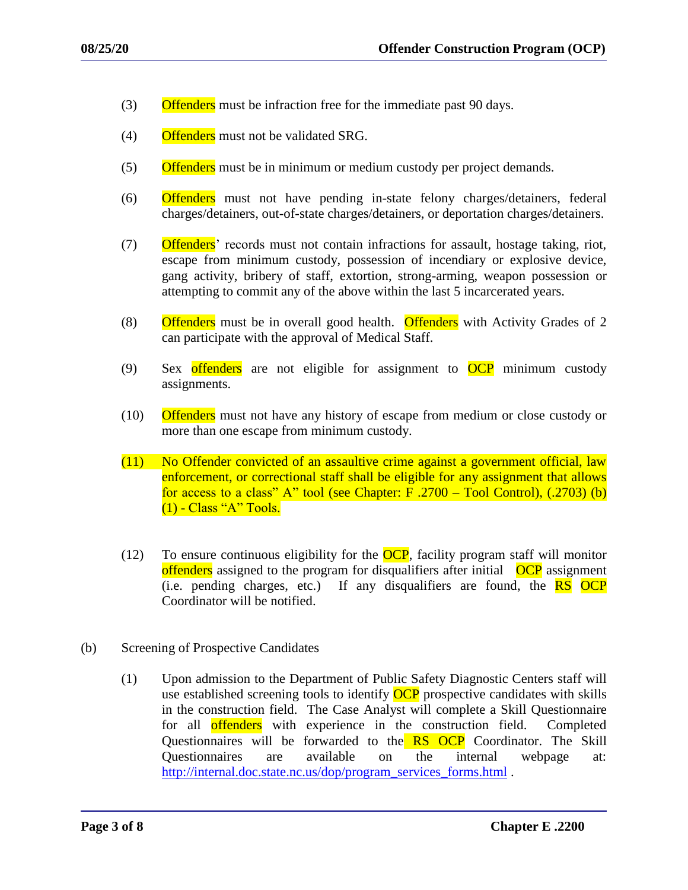- (3) Offenders must be infraction free for the immediate past 90 days.
- (4) Offenders must not be validated SRG.
- (5) Offenders must be in minimum or medium custody per project demands.
- (6) Offenders must not have pending in-state felony charges/detainers, federal charges/detainers, out-of-state charges/detainers, or deportation charges/detainers.
- (7) Offenders' records must not contain infractions for assault, hostage taking, riot, escape from minimum custody, possession of incendiary or explosive device, gang activity, bribery of staff, extortion, strong-arming, weapon possession or attempting to commit any of the above within the last 5 incarcerated years.
- (8)  $\overline{Offenders}$  must be in overall good health. Offenders with Activity Grades of 2 can participate with the approval of Medical Staff.
- (9) Sex offenders are not eligible for assignment to  $OCP$  minimum custody assignments.
- (10) Offenders must not have any history of escape from medium or close custody or more than one escape from minimum custody.
- (11) No Offender convicted of an assaultive crime against a government official, law enforcement, or correctional staff shall be eligible for any assignment that allows for access to a class" A" tool (see Chapter: F.2700 – Tool Control),  $(.2703)$  (b) (1) - Class "A" Tools.
- (12) To ensure continuous eligibility for the  $OCP$ , facility program staff will monitor offenders assigned to the program for disqualifiers after initial OCP assignment (i.e. pending charges, etc.) If any disqualifiers are found, the  $\overline{RS}$  OCP Coordinator will be notified.
- (b) Screening of Prospective Candidates
	- (1) Upon admission to the Department of Public Safety Diagnostic Centers staff will use established screening tools to identify **OCP** prospective candidates with skills in the construction field. The Case Analyst will complete a Skill Questionnaire for all offenders with experience in the construction field. Completed Questionnaires will be forwarded to the **RS OCP** Coordinator. The Skill Questionnaires are available on the internal webpage at: [http://internal.doc.state.nc.us/dop/program\\_services\\_forms.html](http://internal.doc.state.nc.us/dop/program_services_forms.html) .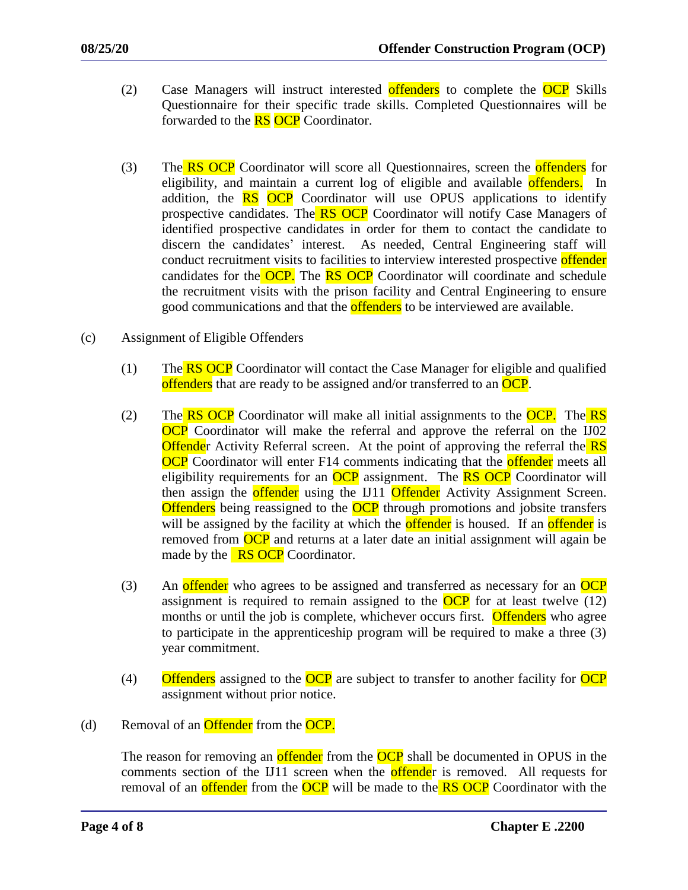- (2) Case Managers will instruct interested offenders to complete the OCP Skills Questionnaire for their specific trade skills. Completed Questionnaires will be forwarded to the **RS** OCP Coordinator.
- (3) The RS OCP Coordinator will score all Questionnaires, screen the offenders for eligibility, and maintain a current log of eligible and available offenders. In addition, the **RS** OCP Coordinator will use OPUS applications to identify prospective candidates. The RS OCP Coordinator will notify Case Managers of identified prospective candidates in order for them to contact the candidate to discern the candidates' interest. As needed, Central Engineering staff will conduct recruitment visits to facilities to interview interested prospective offender candidates for the OCP. The RS OCP Coordinator will coordinate and schedule the recruitment visits with the prison facility and Central Engineering to ensure good communications and that the **offenders** to be interviewed are available.
- (c) Assignment of Eligible Offenders
	- (1) The  $\overline{RS}$  OCP Coordinator will contact the Case Manager for eligible and qualified offenders that are ready to be assigned and/or transferred to an OCP.
	- (2) The  $\overline{RS}$  OCP Coordinator will make all initial assignments to the OCP. The  $\overline{RS}$ **OCP** Coordinator will make the referral and approve the referral on the IJ02 **Offender** Activity Referral screen. At the point of approving the referral the **RS OCP** Coordinator will enter F14 comments indicating that the **offender** meets all eligibility requirements for an  $OCP$  assignment. The **RS OCP** Coordinator will then assign the **offender** using the IJ11 **Offender** Activity Assignment Screen. **Offenders** being reassigned to the **OCP** through promotions and jobsite transfers will be assigned by the facility at which the **offender** is housed. If an **offender** is removed from OCP and returns at a later date an initial assignment will again be made by the  $RS$  OCP Coordinator.
	- (3) An offender who agrees to be assigned and transferred as necessary for an  $OCP$ assignment is required to remain assigned to the  $OCP$  for at least twelve (12) months or until the job is complete, whichever occurs first. Offenders who agree to participate in the apprenticeship program will be required to make a three (3) year commitment.
	- $(4)$  Offenders assigned to the OCP are subject to transfer to another facility for OCP assignment without prior notice.
- (d) Removal of an **Offender** from the **OCP**.

The reason for removing an **offender** from the **OCP** shall be documented in OPUS in the comments section of the IJ11 screen when the **offende**r is removed. All requests for removal of an **offender** from the **OCP** will be made to the **RS OCP** Coordinator with the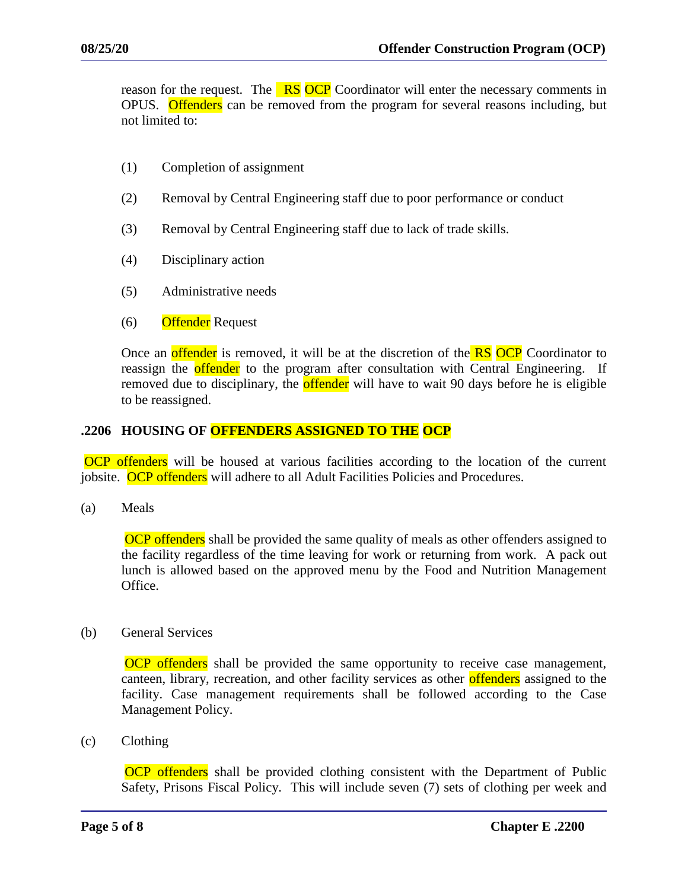reason for the request. The **RS OCP** Coordinator will enter the necessary comments in OPUS. Offenders can be removed from the program for several reasons including, but not limited to:

- (1) Completion of assignment
- (2) Removal by Central Engineering staff due to poor performance or conduct
- (3) Removal by Central Engineering staff due to lack of trade skills.
- (4) Disciplinary action
- (5) Administrative needs
- (6) Offender Request

Once an **offender** is removed, it will be at the discretion of the **RS OCP** Coordinator to reassign the **offender** to the program after consultation with Central Engineering. If removed due to disciplinary, the **offender** will have to wait 90 days before he is eligible to be reassigned.

## **.2206 HOUSING OF OFFENDERS ASSIGNED TO THE OCP**

OCP offenders will be housed at various facilities according to the location of the current jobsite. OCP offenders will adhere to all Adult Facilities Policies and Procedures.

(a) Meals

**OCP** offenders shall be provided the same quality of meals as other offenders assigned to the facility regardless of the time leaving for work or returning from work. A pack out lunch is allowed based on the approved menu by the Food and Nutrition Management Office.

(b) General Services

**OCP** offenders shall be provided the same opportunity to receive case management, canteen, library, recreation, and other facility services as other offenders assigned to the facility. Case management requirements shall be followed according to the Case Management Policy.

(c) Clothing

**OCP** offenders shall be provided clothing consistent with the Department of Public Safety, Prisons Fiscal Policy. This will include seven (7) sets of clothing per week and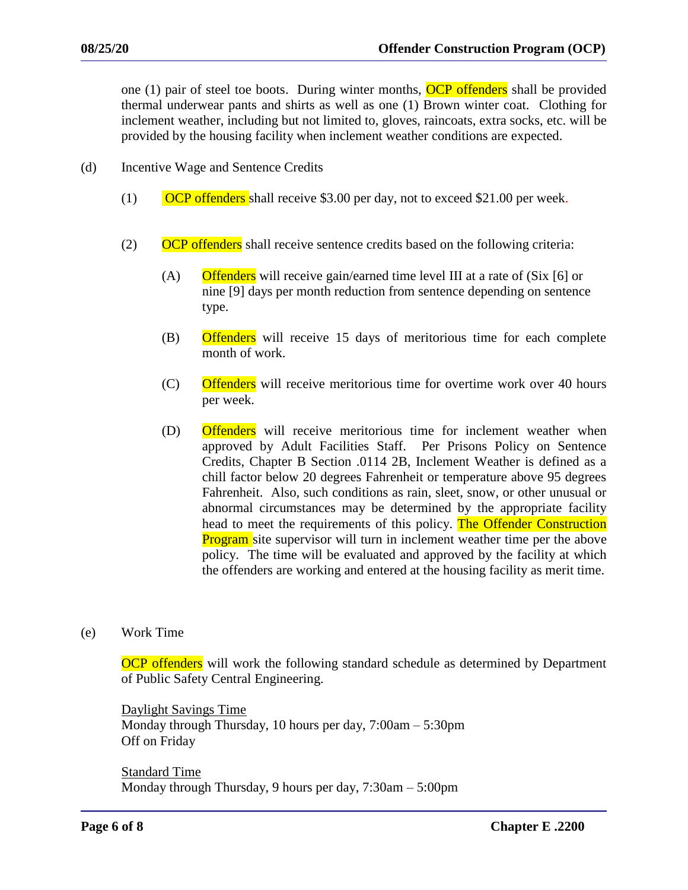one (1) pair of steel toe boots. During winter months, OCP offenders shall be provided thermal underwear pants and shirts as well as one (1) Brown winter coat. Clothing for inclement weather, including but not limited to, gloves, raincoats, extra socks, etc. will be provided by the housing facility when inclement weather conditions are expected.

- (d) Incentive Wage and Sentence Credits
	- $(1)$  OCP offenders shall receive \$3.00 per day, not to exceed \$21.00 per week.
	- (2) OCP offenders shall receive sentence credits based on the following criteria:
		- (A) Offenders will receive gain/earned time level III at a rate of (Six [6] or nine [9] days per month reduction from sentence depending on sentence type.
		- (B) Offenders will receive 15 days of meritorious time for each complete month of work.
		- (C) Offenders will receive meritorious time for overtime work over 40 hours per week.
		- (D) Offenders will receive meritorious time for inclement weather when approved by Adult Facilities Staff. Per Prisons Policy on Sentence Credits, Chapter B Section .0114 2B, Inclement Weather is defined as a chill factor below 20 degrees Fahrenheit or temperature above 95 degrees Fahrenheit. Also, such conditions as rain, sleet, snow, or other unusual or abnormal circumstances may be determined by the appropriate facility head to meet the requirements of this policy. The Offender Construction **Program** site supervisor will turn in inclement weather time per the above policy. The time will be evaluated and approved by the facility at which the offenders are working and entered at the housing facility as merit time.
- (e) Work Time

OCP offenders will work the following standard schedule as determined by Department of Public Safety Central Engineering.

Daylight Savings Time Monday through Thursday, 10 hours per day, 7:00am – 5:30pm Off on Friday

Standard Time Monday through Thursday, 9 hours per day, 7:30am – 5:00pm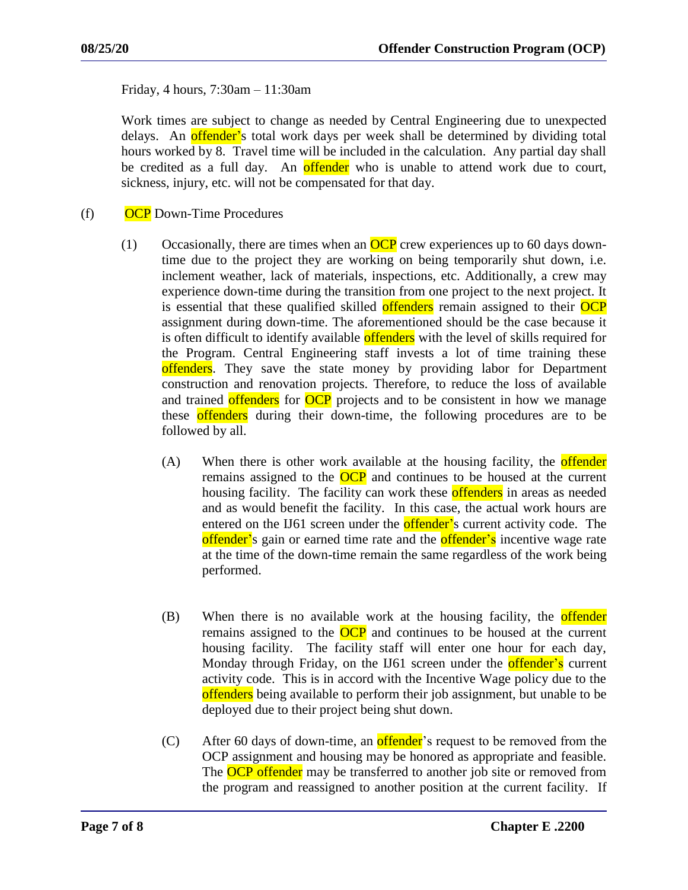Friday, 4 hours, 7:30am – 11:30am

Work times are subject to change as needed by Central Engineering due to unexpected delays. An **offender'**s total work days per week shall be determined by dividing total hours worked by 8. Travel time will be included in the calculation. Any partial day shall be credited as a full day. An offender who is unable to attend work due to court, sickness, injury, etc. will not be compensated for that day.

(f) OCP Down-Time Procedures

- (1) Occasionally, there are times when an  $OCP$  crew experiences up to 60 days downtime due to the project they are working on being temporarily shut down, i.e. inclement weather, lack of materials, inspections, etc. Additionally, a crew may experience down-time during the transition from one project to the next project. It is essential that these qualified skilled **offenders** remain assigned to their **OCP** assignment during down-time. The aforementioned should be the case because it is often difficult to identify available **offenders** with the level of skills required for the Program. Central Engineering staff invests a lot of time training these offenders. They save the state money by providing labor for Department construction and renovation projects. Therefore, to reduce the loss of available and trained offenders for OCP projects and to be consistent in how we manage these offenders during their down-time, the following procedures are to be followed by all.
	- (A) When there is other work available at the housing facility, the **offender** remains assigned to the OCP and continues to be housed at the current housing facility. The facility can work these offenders in areas as needed and as would benefit the facility. In this case, the actual work hours are entered on the IJ61 screen under the **offender'**s current activity code. The offender's gain or earned time rate and the offender's incentive wage rate at the time of the down-time remain the same regardless of the work being performed.
	- (B) When there is no available work at the housing facility, the **offender** remains assigned to the **OCP** and continues to be housed at the current housing facility. The facility staff will enter one hour for each day, Monday through Friday, on the IJ61 screen under the **offender's** current activity code. This is in accord with the Incentive Wage policy due to the offenders being available to perform their job assignment, but unable to be deployed due to their project being shut down.
	- $(C)$  After 60 days of down-time, an offender's request to be removed from the OCP assignment and housing may be honored as appropriate and feasible. The OCP offender may be transferred to another job site or removed from the program and reassigned to another position at the current facility. If